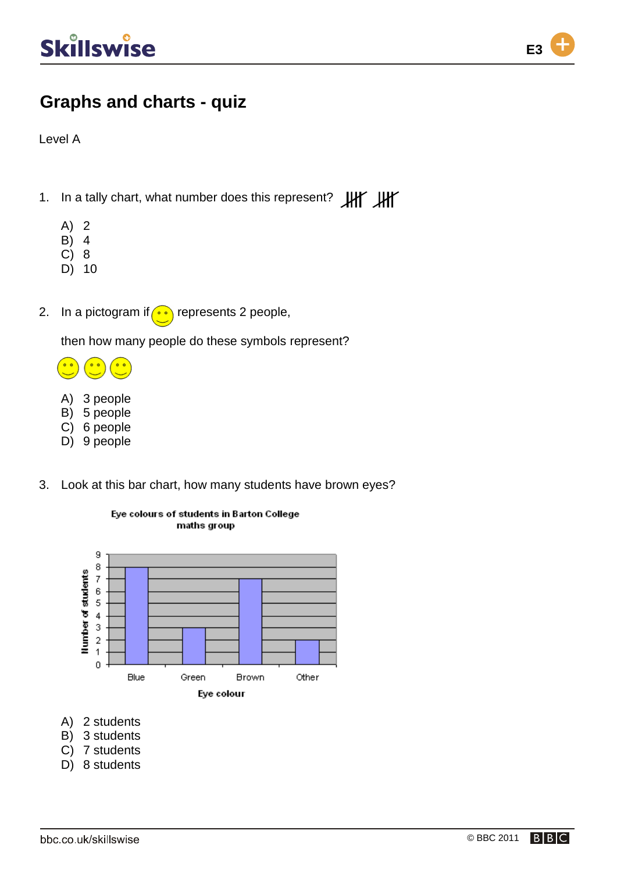

Level A

- 1. In a tally chart, what number does this represent? HIT HIT
	- A) 2
	- B) 4
	- C) 8
	- D) 10
- 2. In a pictogram if  $\bullet$  represents 2 people,

then how many people do these symbols represent?

- $\bullet$
- A) 3 people
- B) 5 people
- C) 6 people
- D) 9 people
- 3. Look at this bar chart, how many students have brown eyes?





- A) 2 students
- B) 3 students
- C) 7 students
- D) 8 students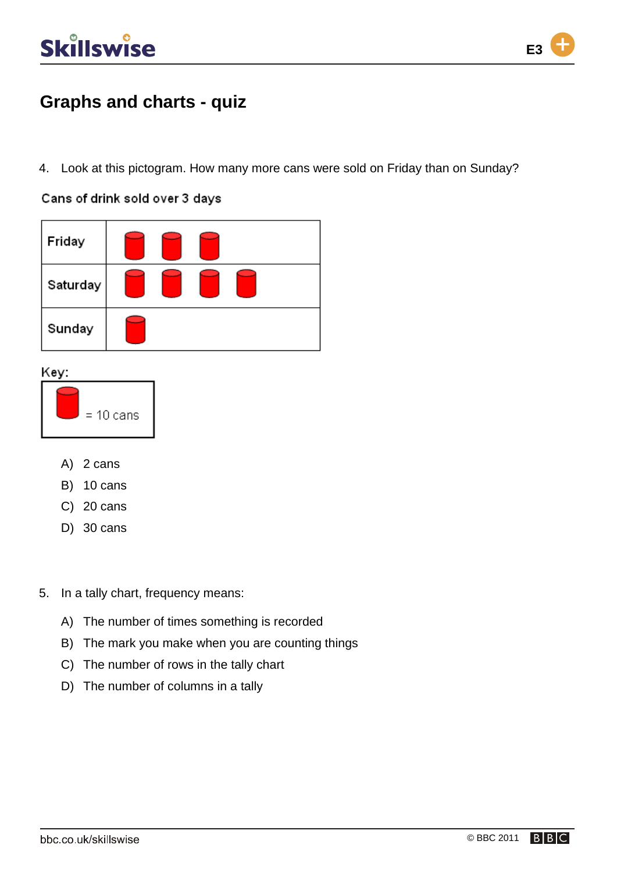

4. Look at this pictogram. How many more cans were sold on Friday than on Sunday?

Cans of drink sold over 3 days



Key:



- A) 2 cans
- B) 10 cans
- C) 20 cans
- D) 30 cans
- 5. In a tally chart, frequency means:
	- A) The number of times something is recorded
	- B) The mark you make when you are counting things
	- C) The number of rows in the tally chart
	- D) The number of columns in a tally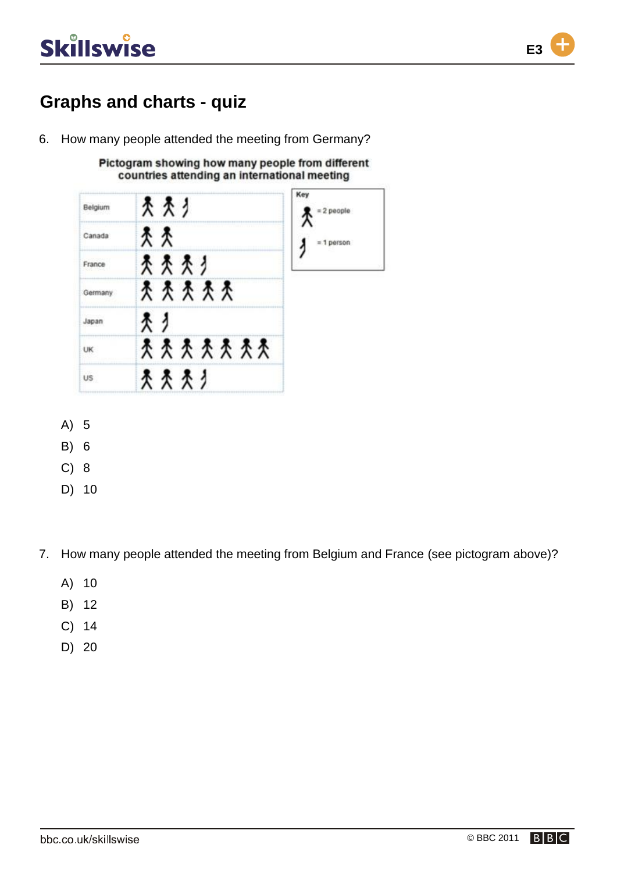

6. How many people attended the meeting from Germany?

Pictogram showing how many people from different countries attending an international meeting



- A) 5
- B) 6
- C) 8
- D) 10

7. How many people attended the meeting from Belgium and France (see pictogram above)?

- A) 10
- B) 12
- C) 14
- D) 20

**E3**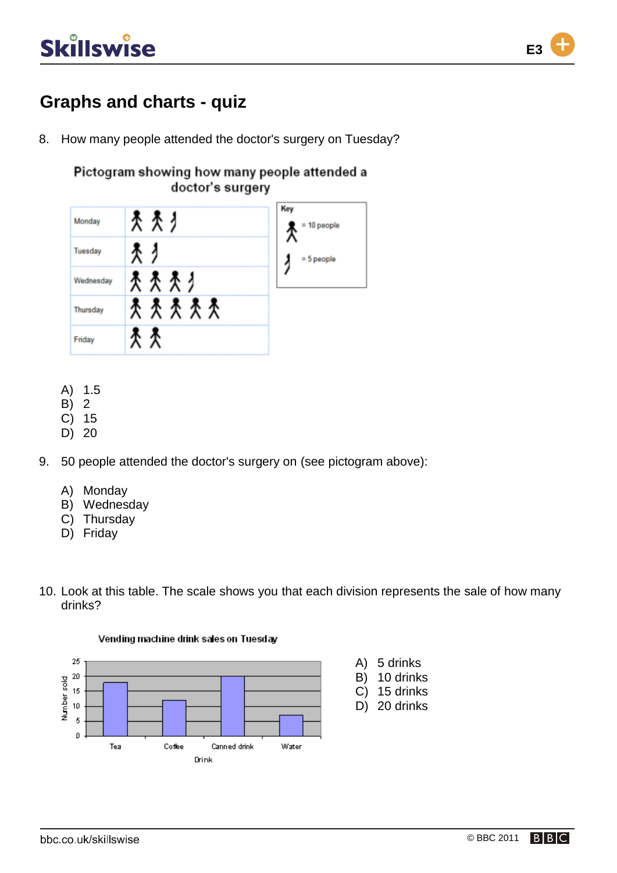

## **Graphs and charts - quiz**

8. How many people attended the doctor's surgery on Tuesday?

#### Pictogram showing how many people attended a doctor's surgery



- A) 1.5
- B) 2
- C) 15
- D) 20
- 9. 50 people attended the doctor's surgery on (see pictogram above):
	- A) Monday
	- B) Wednesday
	- C) Thursday
	- D) Friday
- 10. Look at this table. The scale shows you that each division represents the sale of how many drinks?



#### Vending machine drink sales on Tuesday

**E3**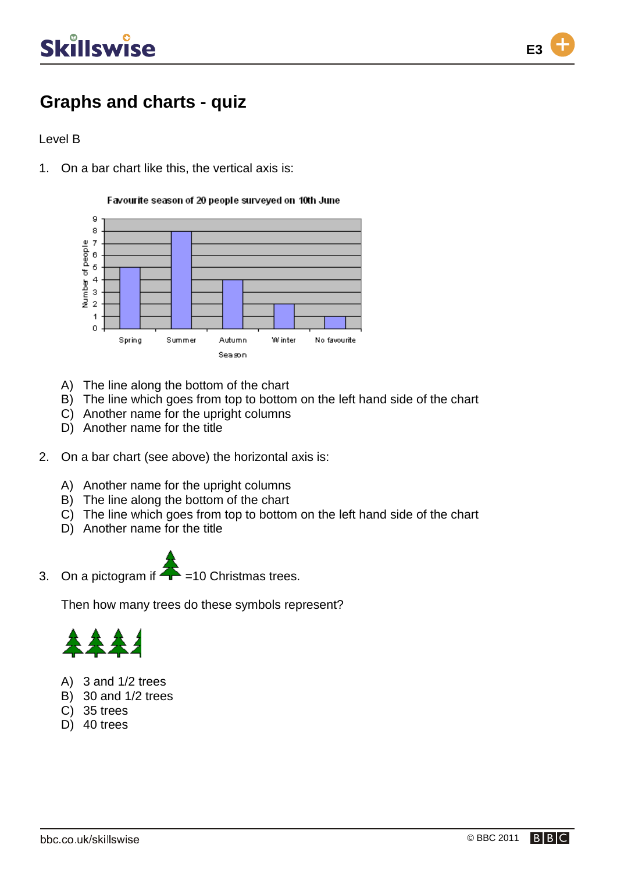

## **Graphs and charts - quiz**

#### Level B

1. On a bar chart like this, the vertical axis is:

Favourite season of 20 people surveyed on 10th June



- A) The line along the bottom of the chart
- B) The line which goes from top to bottom on the left hand side of the chart
- C) Another name for the upright columns
- D) Another name for the title
- 2. On a bar chart (see above) the horizontal axis is:
	- A) Another name for the upright columns
	- B) The line along the bottom of the chart
	- C) The line which goes from top to bottom on the left hand side of the chart
	- D) Another name for the title
- 3. On a pictogram if  $\overline{+}$  =10 Christmas trees.

Then how many trees do these symbols represent?



- A) 3 and 1/2 trees
- B) 30 and 1/2 trees
- C) 35 trees
- D) 40 trees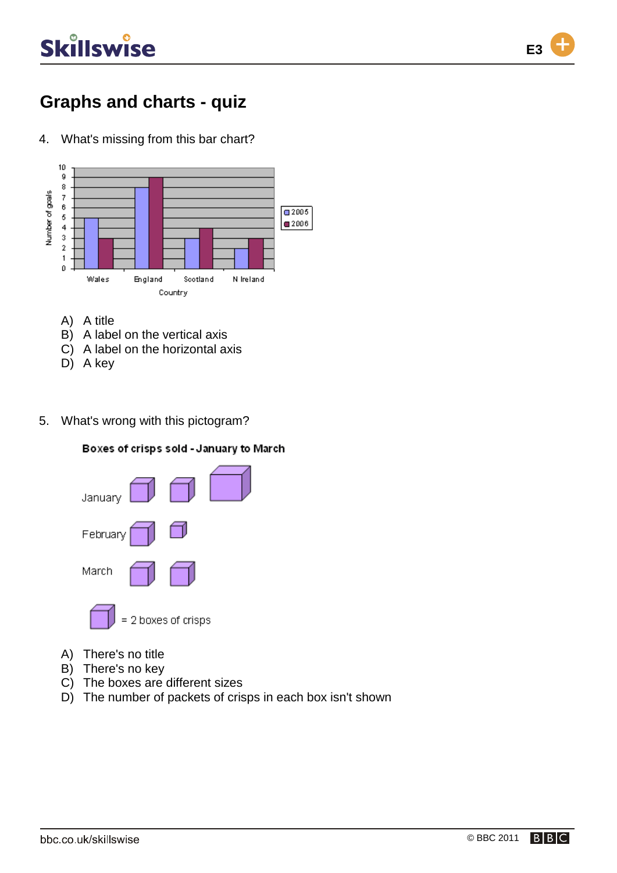

4. What's missing from this bar chart?



- A) A title
- B) A label on the vertical axis
- C) A label on the horizontal axis
- D) A key
- 5. What's wrong with this pictogram?





- A) There's no title
- B) There's no key
- C) The boxes are different sizes
- D) The number of packets of crisps in each box isn't shown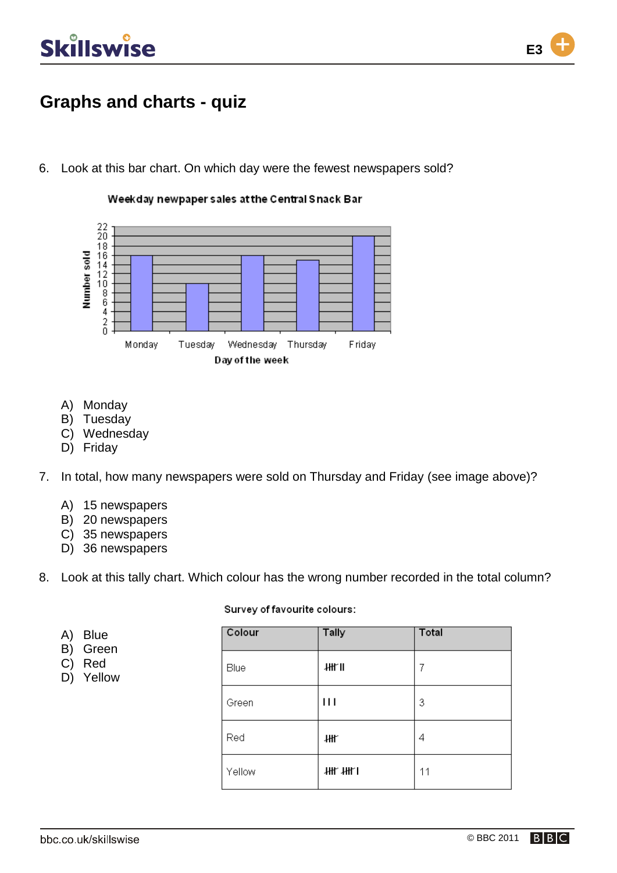

## **Graphs and charts - quiz**

6. Look at this bar chart. On which day were the fewest newspapers sold?

Weekday newpaper sales at the Central Snack Bar



- A) Monday
- B) Tuesday
- C) Wednesday
- D) Friday

7. In total, how many newspapers were sold on Thursday and Friday (see image above)?

- A) 15 newspapers
- B) 20 newspapers
- C) 35 newspapers
- D) 36 newspapers

8. Look at this tally chart. Which colour has the wrong number recorded in the total column?

#### Survey of favourite colours:

| A)<br>B)<br>C)<br>D) | <b>Blue</b><br>Green<br>Red<br>Yellow | Colour | <b>Tally</b> | Total |
|----------------------|---------------------------------------|--------|--------------|-------|
|                      |                                       | Blue   | 拙门           | 7     |
|                      |                                       | Green  | $\mathbf{H}$ | 3     |
|                      |                                       | Red    | 卌            | 4     |
|                      |                                       | Yellow | 拙 拙          | 11    |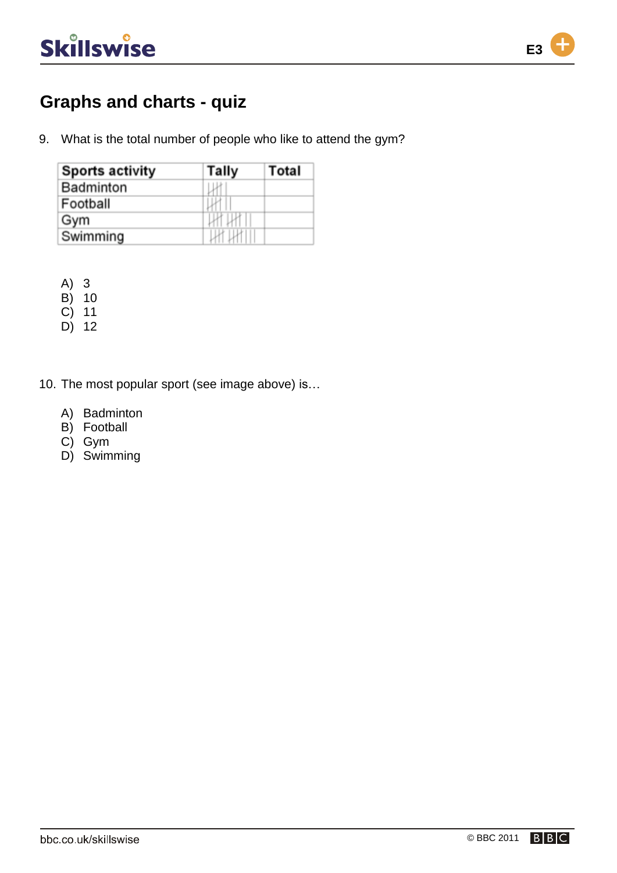

9. What is the total number of people who like to attend the gym?

| <b>Sports activity</b> | Tally        | Total |
|------------------------|--------------|-------|
| <b>Badminton</b>       |              |       |
| Football               |              |       |
| Gym                    | <b>LK UR</b> |       |
| Swimming               |              |       |

A) 3

- B) 10
- C) 11
- D) 12
- 10. The most popular sport (see image above) is…
	- A) Badminton
	- B) Football
	- C) Gym
	- D) Swimming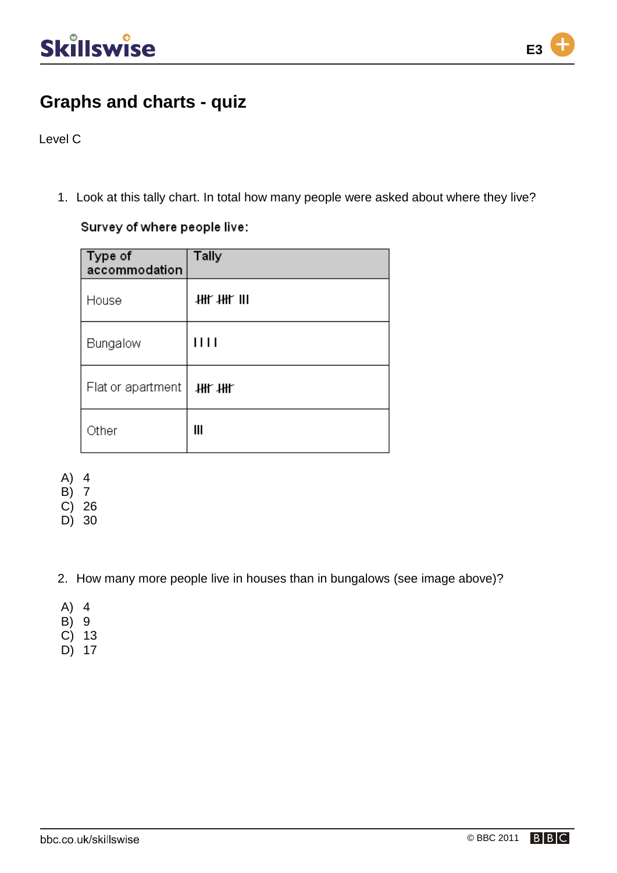

Level C

1. Look at this tally chart. In total how many people were asked about where they live?

Survey of where people live:

| Type of<br>accommodation | <b>Tally</b> |
|--------------------------|--------------|
| House                    | 拙拙Ⅲ          |
| Bungalow                 | 1111         |
| Flat or apartment        | 拙拙           |
| Other                    | Ш            |

A) 4

B) 7

C) 26

D) 30

2. How many more people live in houses than in bungalows (see image above)?

- A) 4
- B) 9
- C) 13
- D) 17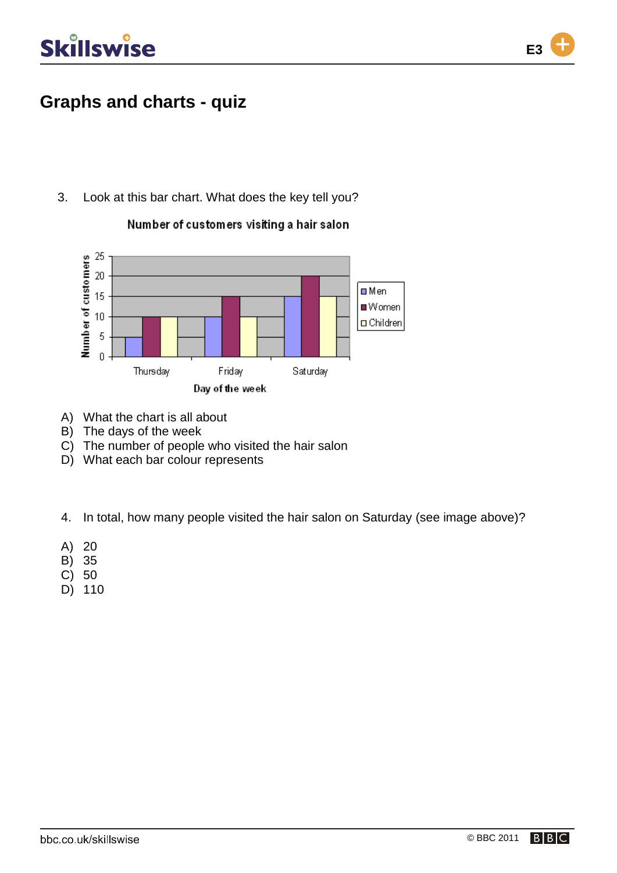

### **Graphs and charts - quiz**

3. Look at this bar chart. What does the key tell you?



Number of customers visiting a hair salon

- A) What the chart is all about
- B) The days of the week
- C) The number of people who visited the hair salon
- D) What each bar colour represents
- 4. In total, how many people visited the hair salon on Saturday (see image above)?
- A) 20
- B) 35
- C) 50
- D) 110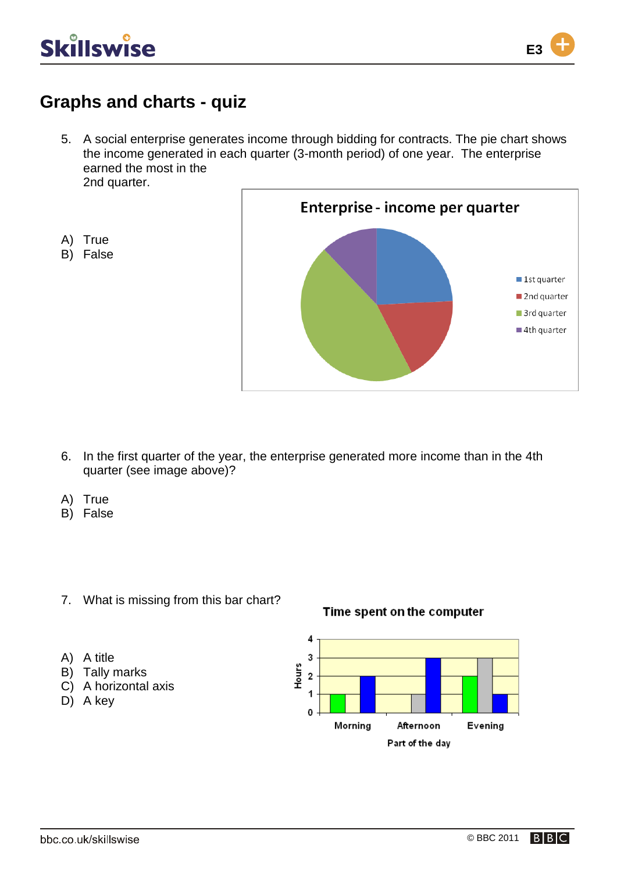

A) True B) False

**E3**

#### **Graphs and charts - quiz**

5. A social enterprise generates income through bidding for contracts. The pie chart shows the income generated in each quarter (3-month period) of one year. The enterprise earned the most in the 2nd quarter.



- 6. In the first quarter of the year, the enterprise generated more income than in the 4th quarter (see image above)?
- A) True
- B) False
- 7. What is missing from this bar chart?

#### Time spent on the computer



- A) A title
- B) Tally marks
- C) A horizontal axis
- D) A key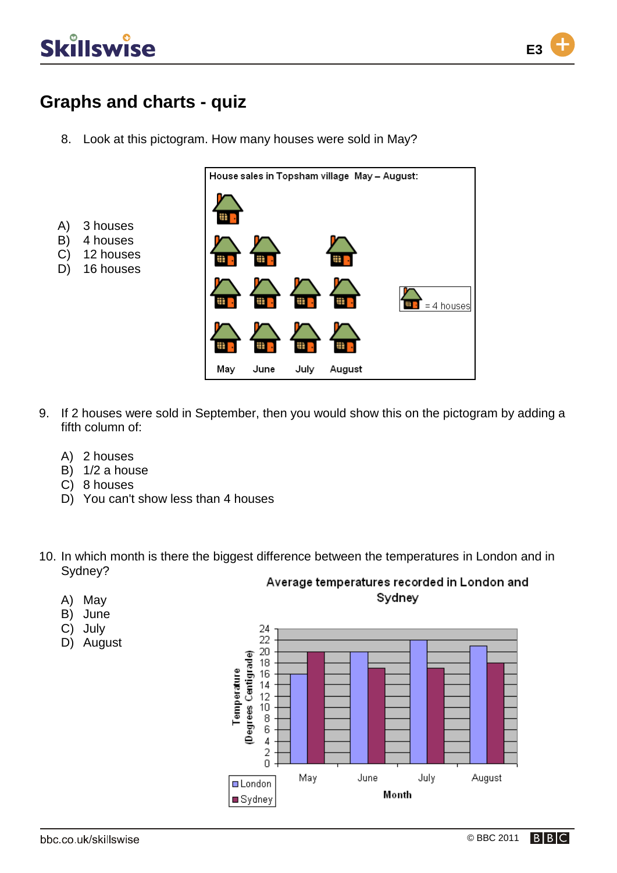A) 3 houses B) 4 houses C) 12 houses D) 16 houses



### **Graphs and charts - quiz**

8. Look at this pictogram. How many houses were sold in May?



- 9. If 2 houses were sold in September, then you would show this on the pictogram by adding a fifth column of:
	- A) 2 houses
	- B) 1/2 a house
	- C) 8 houses
	- D) You can't show less than 4 houses
- 10. In which month is there the biggest difference between the temperatures in London and in Sydney? Average temperatures recorded in London and
	- A) May
	- B) June
	- C) July
	- D) August

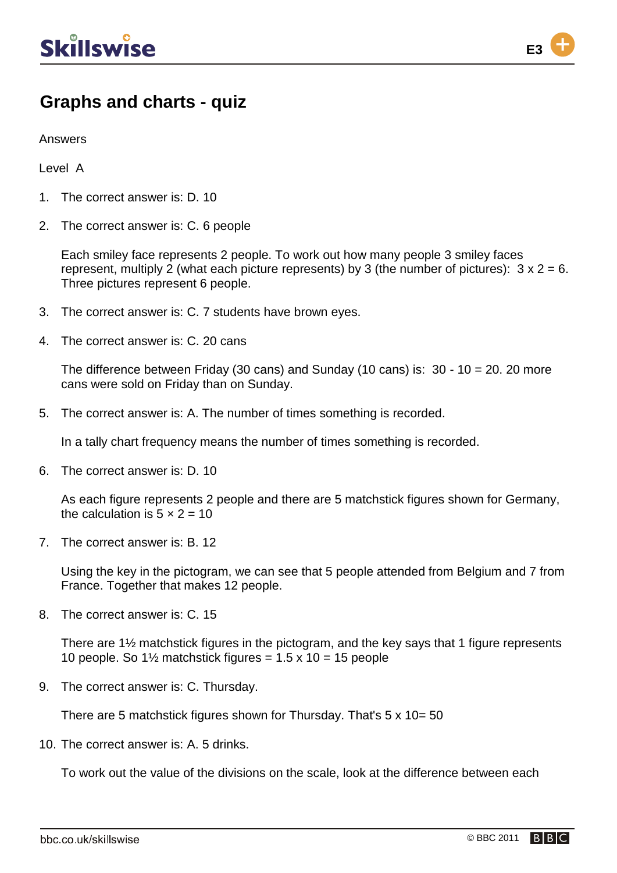

Answers

Level A

- 1. The correct answer is: D. 10
- 2. The correct answer is: C. 6 people

Each smiley face represents 2 people. To work out how many people 3 smiley faces represent, multiply 2 (what each picture represents) by 3 (the number of pictures):  $3 \times 2 = 6$ . Three pictures represent 6 people.

- 3. The correct answer is: C. 7 students have brown eyes.
- 4. The correct answer is: C. 20 cans

The difference between Friday (30 cans) and Sunday (10 cans) is:  $30 - 10 = 20$ . 20 more cans were sold on Friday than on Sunday.

5. The correct answer is: A. The number of times something is recorded.

In a tally chart frequency means the number of times something is recorded.

6. The correct answer is: D. 10

As each figure represents 2 people and there are 5 matchstick figures shown for Germany, the calculation is  $5 \times 2 = 10$ 

7. The correct answer is: B. 12

Using the key in the pictogram, we can see that 5 people attended from Belgium and 7 from France. Together that makes 12 people.

8. The correct answer is: C. 15

There are 1½ matchstick figures in the pictogram, and the key says that 1 figure represents 10 people. So  $1\frac{1}{2}$  matchstick figures = 1.5 x 10 = 15 people

9. The correct answer is: C. Thursday.

There are 5 matchstick figures shown for Thursday. That's 5 x 10= 50

10. The correct answer is: A. 5 drinks.

To work out the value of the divisions on the scale, look at the difference between each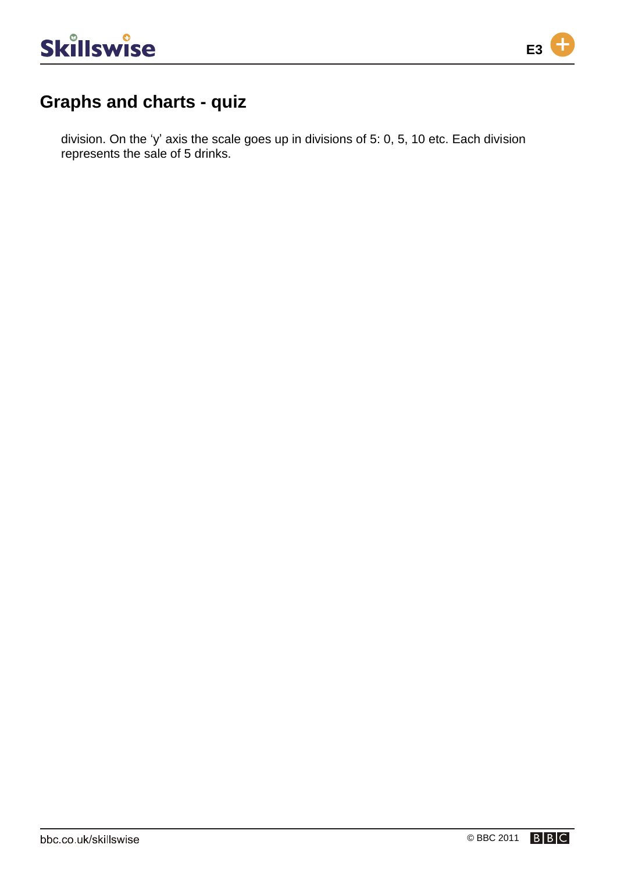

division. On the 'y' axis the scale goes up in divisions of 5: 0, 5, 10 etc. Each division represents the sale of 5 drinks.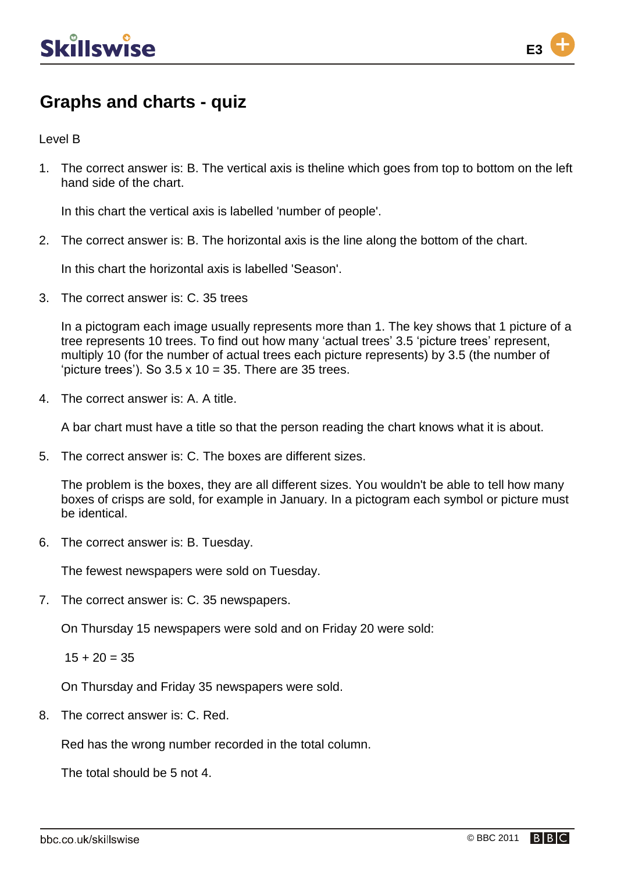

Level B

1. The correct answer is: B. The vertical axis is theline which goes from top to bottom on the left hand side of the chart.

In this chart the vertical axis is labelled 'number of people'.

2. The correct answer is: B. The horizontal axis is the line along the bottom of the chart.

In this chart the horizontal axis is labelled 'Season'.

3. The correct answer is: C. 35 trees

In a pictogram each image usually represents more than 1. The key shows that 1 picture of a tree represents 10 trees. To find out how many 'actual trees' 3.5 'picture trees' represent, multiply 10 (for the number of actual trees each picture represents) by 3.5 (the number of 'picture trees'). So  $3.5 \times 10 = 35$ . There are 35 trees.

4. The correct answer is: A. A title.

A bar chart must have a title so that the person reading the chart knows what it is about.

5. The correct answer is: C. The boxes are different sizes.

The problem is the boxes, they are all different sizes. You wouldn't be able to tell how many boxes of crisps are sold, for example in January. In a pictogram each symbol or picture must be identical.

6. The correct answer is: B. Tuesday.

The fewest newspapers were sold on Tuesday.

7. The correct answer is: C. 35 newspapers.

On Thursday 15 newspapers were sold and on Friday 20 were sold:

 $15 + 20 = 35$ 

On Thursday and Friday 35 newspapers were sold.

8. The correct answer is: C. Red.

Red has the wrong number recorded in the total column.

The total should be 5 not 4.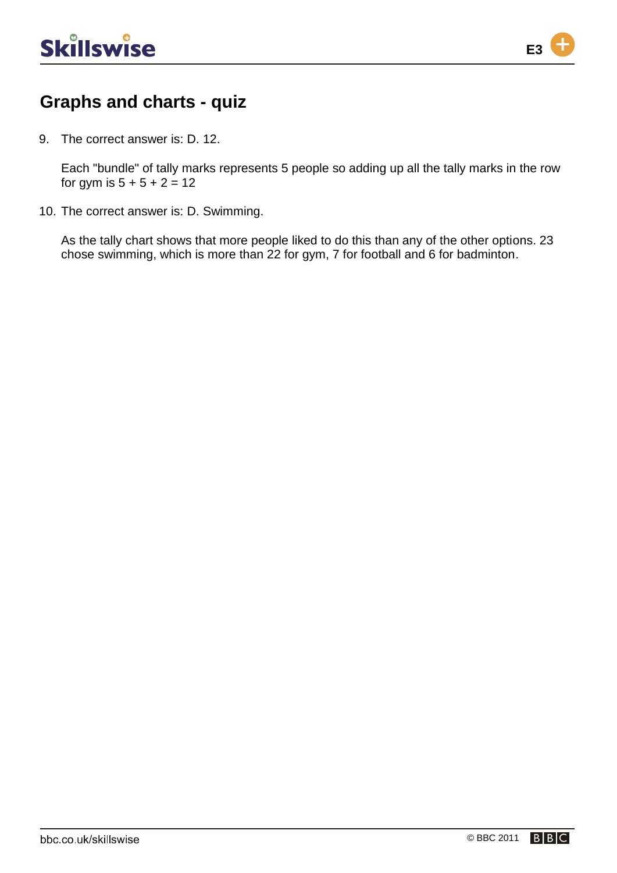

9. The correct answer is: D. 12.

Each "bundle" of tally marks represents 5 people so adding up all the tally marks in the row for gym is  $5 + 5 + 2 = 12$ 

10. The correct answer is: D. Swimming.

As the tally chart shows that more people liked to do this than any of the other options. 23 chose swimming, which is more than 22 for gym, 7 for football and 6 for badminton.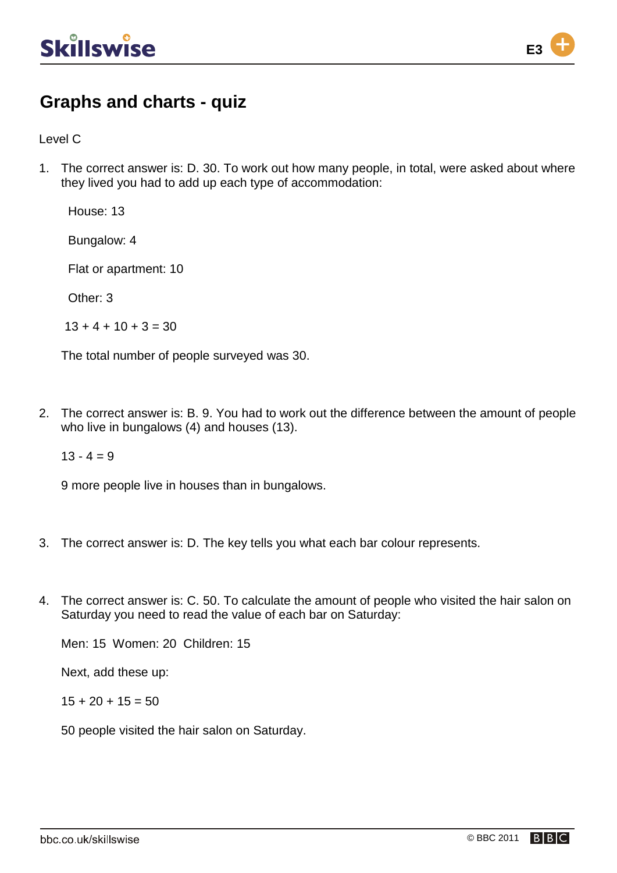

Level C

1. The correct answer is: D. 30. To work out how many people, in total, were asked about where they lived you had to add up each type of accommodation:

House: 13

Bungalow: 4

Flat or apartment: 10

Other: 3

 $13 + 4 + 10 + 3 = 30$ 

The total number of people surveyed was 30.

2. The correct answer is: B. 9. You had to work out the difference between the amount of people who live in bungalows (4) and houses (13).

 $13 - 4 = 9$ 

9 more people live in houses than in bungalows.

- 3. The correct answer is: D. The key tells you what each bar colour represents.
- 4. The correct answer is: C. 50. To calculate the amount of people who visited the hair salon on Saturday you need to read the value of each bar on Saturday:

Men: 15 Women: 20 Children: 15

Next, add these up:

 $15 + 20 + 15 = 50$ 

50 people visited the hair salon on Saturday.